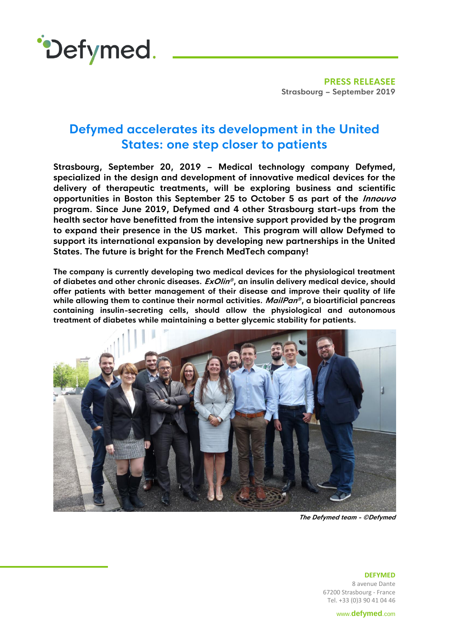

**PRESS RELEASEE Strasbourg – September 2019**

## **Defymed accelerates its development in the United States: one step closer to patients**

**Strasbourg, September 20, 2019 – Medical technology company Defymed, specialized in the design and development of innovative medical devices for the delivery of therapeutic treatments, will be exploring business and scientific opportunities in Boston this September 25 to October 5 as part of the Innouvo program. Since June 2019, Defymed and 4 other Strasbourg start-ups from the health sector have benefitted from the intensive support provided by the program to expand their presence in the US market. This program will allow Defymed to support its international expansion by developing new partnerships in the United States. The future is bright for the French MedTech company!**

**The company is currently developing two medical devices for the physiological treatment of diabetes and other chronic diseases. ExOlin ® , an insulin delivery medical device, should offer patients with better management of their disease and improve their quality of life while allowing them to continue their normal activities. MailPan ® , a bioartificial pancreas containing insulin-secreting cells, should allow the physiological and autonomous treatment of diabetes while maintaining a better glycemic stability for patients.**



**The Defymed team - ©Defymed**

**DEFYMED** 8 avenue Dante 67200 Strasbourg - France Tel. +33 (0)3 90 41 04 46

www.**[defymed](http://www.defymed.com/)**.com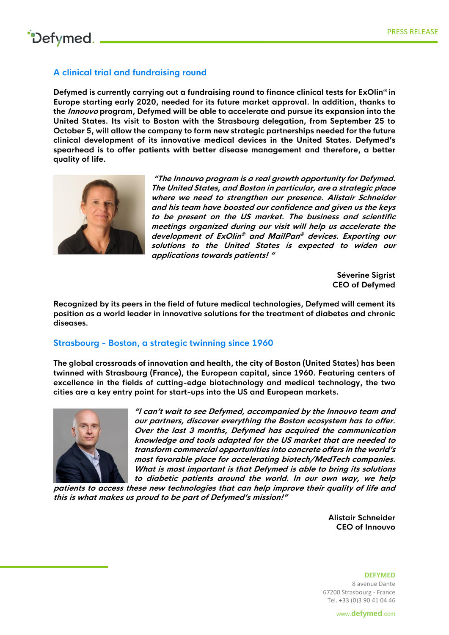## **A clinical trial and fundraising round**

**Defymed is currently carrying out a fundraising round to finance clinical tests for ExOlin ® in Europe starting early 2020, needed for its future market approval. In addition, thanks to the Innouvo program, Defymed will be able to accelerate and pursue its expansion into the United States. Its visit to Boston with the Strasbourg delegation, from September 25 to October 5, will allow the company to form new strategic partnerships needed for the future clinical development of its innovative medical devices in the United States. Defymed's spearhead is to offer patients with better disease management and therefore, a better quality of life.**



**"The Innouvo program is a real growth opportunity for Defymed. The United States, and Boston in particular, are a strategic place where we need to strengthen our presence. Alistair Schneider and his team have boosted our confidence and given us the keys to be present on the US market. The business and scientific meetings organized during our visit will help us accelerate the development of ExOlin ® and MailPan ® devices. Exporting our solutions to the United States is expected to widen our applications towards patients! "**

> **Séverine Sigrist CEO of Defymed**

**Recognized by its peers in the field of future medical technologies, Defymed will cement its position as a world leader in innovative solutions for the treatment of diabetes and chronic diseases.**

### **Strasbourg - Boston, a strategic twinning since 1960**

**The global crossroads of innovation and health, the city of Boston (United States) has been twinned with Strasbourg (France), the European capital, since 1960. Featuring centers of excellence in the fields of cutting-edge biotechnology and medical technology, the two cities are a key entry point for start-ups into the US and European markets.**



**"I can't wait to see Defymed, accompanied by the Innouvo team and our partners, discover everything the Boston ecosystem has to offer. Over the last 3 months, Defymed has acquired the communication knowledge and tools adapted for the US market that are needed to transform commercial opportunities into concrete offers in the world's most favorable place for accelerating biotech/MedTech companies. What is most important is that Defymed is able to bring its solutions to diabetic patients around the world. In our own way, we help** 

**patients to access these new technologies that can help improve their quality of life and this is what makes us proud to be part of Defymed's mission!"**

> **Alistair Schneider CEO of Innouvo**

**DEFYMED** 8 avenue Dante 67200 Strasbourg - France Tel. +33 (0)3 90 41 04 46

www.**[defymed](http://www.defymed.com/)**.com